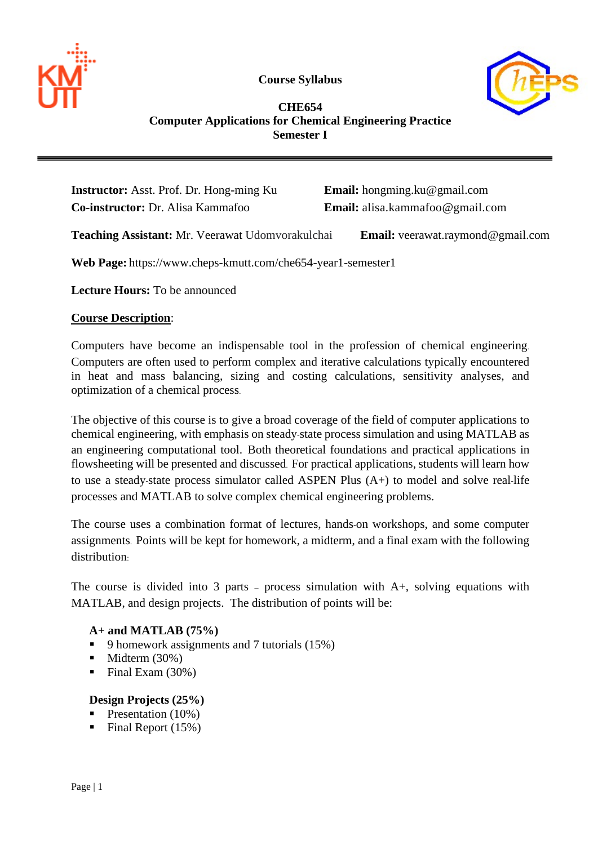

**Course Syllabus**



# **CHE654 Computer Applications for Chemical Engineering Practice Semester I**

**Instructor:** Asst. Prof. Dr. Hong-ming Ku **Email:** hongming.ku@gmail.com **Co-instructor:** Dr. Alisa Kammafoo **Email:** alisa.kammafoo@gmail.com

**Teaching Assistant:** Mr. Veerawat Udomvorakulchai **Email:** veerawat.raymond@gmail.com

**Web Page:** https://www.cheps-kmutt.com/che654-year1-semester1

**Lecture Hours:** To be announced

### **Course Description**:

Computers have become an indispensable tool in the profession of chemical engineering. Computers are often used to perform complex and iterative calculations typically encountered in heat and mass balancing, sizing and costing calculations, sensitivity analyses, and optimization of a chemical process.

The objective of this course is to give a broad coverage of the field of computer applications to chemical engineering, with emphasis on steady-state process simulation and using MATLAB as an engineering computational tool. Both theoretical foundations and practical applications in flowsheeting will be presented and discussed. For practical applications, students will learn how to use a steady-state process simulator called ASPEN Plus (A+) to model and solve real-life processes and MATLAB to solve complex chemical engineering problems.

The course uses a combination format of lectures, hands-on workshops, and some computer assignments. Points will be kept for homework, a midterm, and a final exam with the following distribution:

The course is divided into 3 parts – process simulation with A+, solving equations with MATLAB, and design projects. The distribution of points will be:

# **A+ and MATLAB (75%)**

- 9 homework assignments and 7 tutorials (15%)
- $\blacksquare$  Midterm (30%)
- Final Exam  $(30\%)$

#### **Design Projects (25%)**

- Presentation  $(10\%)$
- Final Report  $(15%)$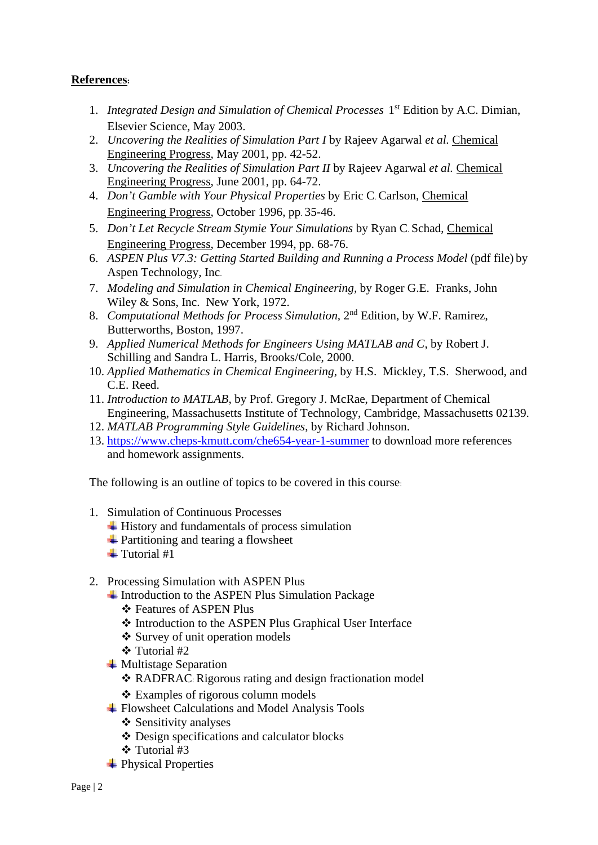# **References:**

- 1. *Integrated Design and Simulation of Chemical Processes* 1st Edition by A.C. Dimian, Elsevier Science, May 2003.
- 2. *Uncovering the Realities of Simulation Part I* by Rajeev Agarwal *et al.* Chemical Engineering Progress, May 2001, pp. 42-52.
- 3. *Uncovering the Realities of Simulation Part II* by Rajeev Agarwal *et al.* Chemical Engineering Progress, June 2001, pp. 64-72.
- 4. *Don't Gamble with Your Physical Properties* by Eric C. Carlson, Chemical Engineering Progress, October 1996, pp. 35-46.
- 5. *Don't Let Recycle Stream Stymie Your Simulations* by Ryan C. Schad, Chemical Engineering Progress, December 1994, pp. 68-76.
- 6. *ASPEN Plus V7.3: Getting Started Building and Running a Process Model* (pdf file) by Aspen Technology, Inc.
- 7. *Modeling and Simulation in Chemical Engineering,* by Roger G.E. Franks, John Wiley & Sons, Inc. New York, 1972.
- 8. *Computational Methods for Process Simulation,* 2nd Edition, by W.F. Ramirez, Butterworths, Boston, 1997.
- 9. *Applied Numerical Methods for Engineers Using MATLAB and C*, by Robert J. Schilling and Sandra L. Harris, Brooks/Cole, 2000.
- 10. *Applied Mathematics in Chemical Engineering*, by H.S. Mickley, T.S. Sherwood, and C.E. Reed.
- 11. *Introduction to MATLAB*, by Prof. Gregory J. McRae, Department of Chemical Engineering, Massachusetts Institute of Technology, Cambridge, Massachusetts 02139.
- 12. *MATLAB Programming Style Guidelines*, by Richard Johnson.
- 13. <https://www.cheps-kmutt.com/che654-year-1-summer> to download more references and homework assignments.

The following is an outline of topics to be covered in this course:

- 1. Simulation of Continuous Processes
	- $\overline{\phantom{a}}$  History and fundamentals of process simulation
	- **Exercity** Partitioning and tearing a flowsheet
	- $\ddagger$  Tutorial #1
- 2. Processing Simulation with ASPEN Plus
	- $\overline{\phantom{a}}$  Introduction to the ASPEN Plus Simulation Package
		- Features of ASPEN Plus
		- Introduction to the ASPEN Plus Graphical User Interface
		- Survey of unit operation models
		- Tutorial #2
	- **Wultistage Separation** 
		- \* RADFRAC: Rigorous rating and design fractionation model
		- Examples of rigorous column models
	- Flowsheet Calculations and Model Analysis Tools
		- $\div$  Sensitivity analyses
		- Design specifications and calculator blocks
		- Tutorial #3
	- <sup>+</sup> Physical Properties